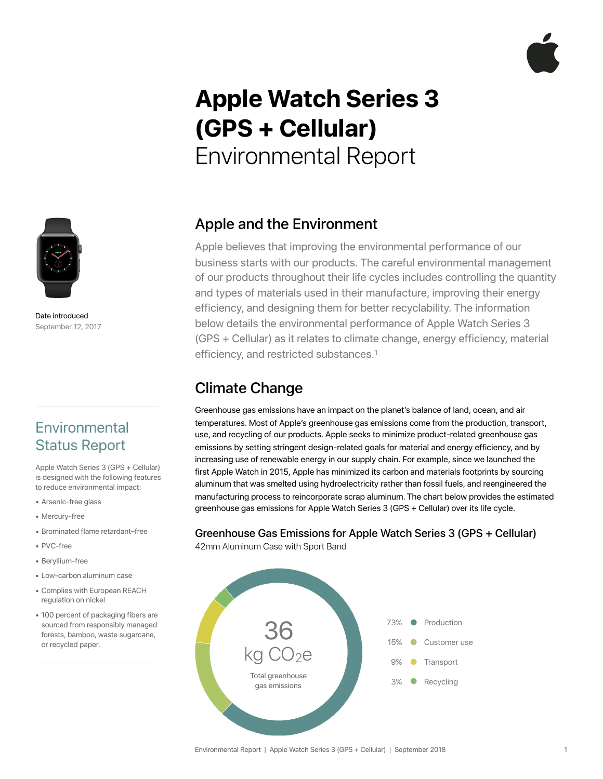# **Apple Watch Series 3 (GPS + Cellular)**  Environmental Report



Date introduced September 12, 2017

### **Environmental** Status Report

Apple Watch Series 3 (GPS + Cellular) is designed with the following features to reduce environmental impact:

- Arsenic-free glass
- Mercury-free
- Brominated flame retardant–free
- PVC-free
- Beryllium-free
- Low-carbon aluminum case
- Complies with European REACH regulation on nickel
- 100 percent of packaging fibers are sourced from responsibly managed forests, bamboo, waste sugarcane, or recycled paper.

### Apple and the Environment

Apple believes that improving the environmental performance of our business starts with our products. The careful environmental management of our products throughout their life cycles includes controlling the quantity and types of materials used in their manufacture, improving their energy efficiency, and designing them for better recyclability. The information below details the environmental performance of Apple Watch Series 3 (GPS + Cellular) as it relates to climate change, energy efficiency, material efficiency, and restricted substances.1

### Climate Change

Greenhouse gas emissions have an impact on the planet's balance of land, ocean, and air temperatures. Most of Apple's greenhouse gas emissions come from the production, transport, use, and recycling of our products. Apple seeks to minimize product-related greenhouse gas emissions by setting stringent design-related goals for material and energy efficiency, and by increasing use of renewable energy in our supply chain. For example, since we launched the first Apple Watch in 2015, Apple has minimized its carbon and materials footprints by sourcing aluminum that was smelted using hydroelectricity rather than fossil fuels, and reengineered the manufacturing process to reincorporate scrap aluminum.The chart below provides the estimated greenhouse gas emissions for Apple Watch Series 3 (GPS + Cellular) over its life cycle.

### Greenhouse Gas Emissions for Apple Watch Series 3 (GPS + Cellular)

42mm Aluminum Case with Sport Band

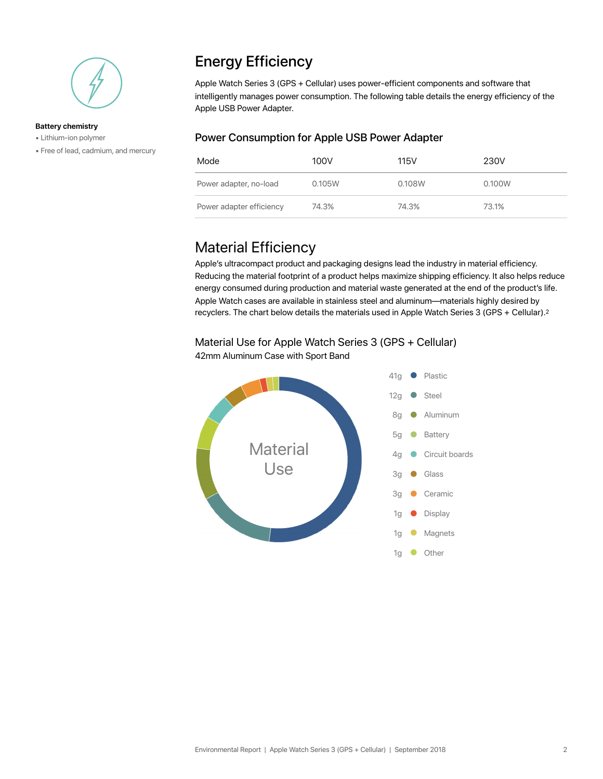

#### **Battery chemistry**

- Lithium-ion polymer
- Free of lead, cadmium, and mercury

### Energy Efficiency

Apple Watch Series 3 (GPS + Cellular) uses power-efficient components and software that intelligently manages power consumption. The following table details the energy efficiency of the Apple USB Power Adapter.

#### Power Consumption for Apple USB Power Adapter

| Mode                     | 100V   | 115V   | 230V   |
|--------------------------|--------|--------|--------|
| Power adapter, no-load   | 0.105W | 0.108W | 0.100W |
| Power adapter efficiency | 74.3%  | 74.3%  | 73.1%  |

### Material Efficiency

Apple's ultracompact product and packaging designs lead the industry in material efficiency. Reducing the material footprint of a product helps maximize shipping efficiency. It also helps reduce energy consumed during production and material waste generated at the end of the product's life. Apple Watch cases are available in stainless steel and aluminum—materials highly desired by recyclers. The chart below details the materials used in Apple Watch Series 3 (GPS + Cellular).2

### Material Use for Apple Watch Series 3 (GPS + Cellular)



42mm Aluminum Case with Sport Band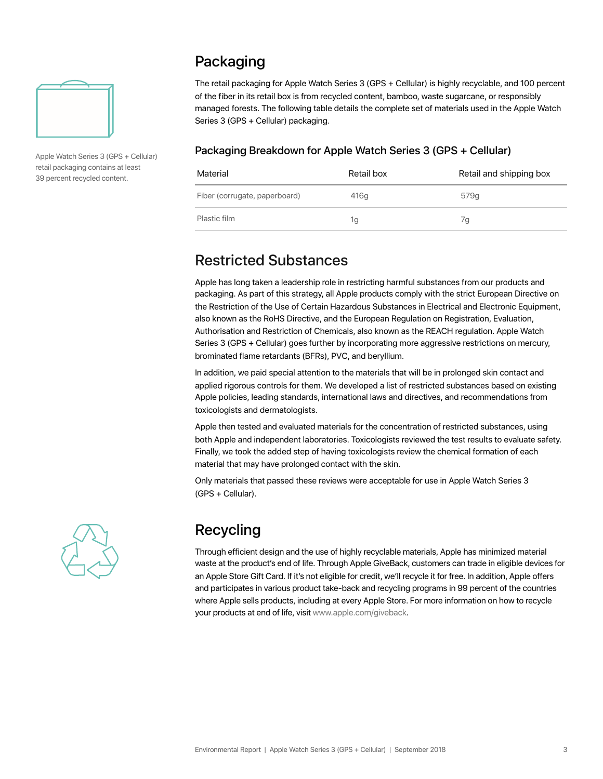

Apple Watch Series 3 (GPS + Cellular) retail packaging contains at least 39 percent recycled content.

### Packaging

The retail packaging for Apple Watch Series 3 (GPS + Cellular) is highly recyclable, and 100 percent of the fiber in its retail box is from recycled content, bamboo, waste sugarcane, or responsibly managed forests. The following table details the complete set of materials used in the Apple Watch Series 3 (GPS + Cellular) packaging.

#### Packaging Breakdown for Apple Watch Series 3 (GPS + Cellular)

| Material                      | Retail box | Retail and shipping box |
|-------------------------------|------------|-------------------------|
| Fiber (corrugate, paperboard) | 416g       | 579g                    |
| Plastic film                  | 1g         | 7а                      |

### Restricted Substances

Apple has long taken a leadership role in restricting harmful substances from our products and packaging. As part of this strategy, all Apple products comply with the strict European Directive on the Restriction of the Use of Certain Hazardous Substances in Electrical and Electronic Equipment, also known as the RoHS Directive, and the European Regulation on Registration, Evaluation, Authorisation and Restriction of Chemicals, also known as the REACH regulation. Apple Watch Series 3 (GPS + Cellular) goes further by incorporating more aggressive restrictions on mercury, brominated flame retardants (BFRs), PVC, and beryllium.

In addition, we paid special attention to the materials that will be in prolonged skin contact and applied rigorous controls for them. We developed a list of restricted substances based on existing Apple policies, leading standards, international laws and directives, and recommendations from toxicologists and dermatologists.

Apple then tested and evaluated materials for the concentration of restricted substances, using both Apple and independent laboratories. Toxicologists reviewed the test results to evaluate safety. Finally, we took the added step of having toxicologists review the chemical formation of each material that may have prolonged contact with the skin.

Only materials that passed these reviews were acceptable for use in Apple Watch Series 3 (GPS + Cellular).



## Recycling

Through efficient design and the use of highly recyclable materials, Apple has minimized material waste at the product's end of life. Through Apple GiveBack, customers can trade in eligible devices for an Apple Store Gift Card. If it's not eligible for credit, we'll recycle it for free. In addition, Apple offers and participates in various product take-back and recycling programs in 99 percent of the countries where Apple sells products, including at every Apple Store. For more information on how to recycle your products at end of life, visi[t www.apple.com/giveback.](http://www.apple.com/giveback)